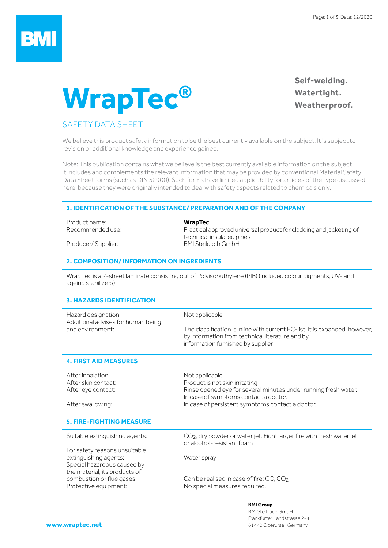## **BM**

# **WrapTec®**

**Self-welding. Watertight. Weatherproof.**

### SAFETY DATA SHEET

We believe this product safety information to be the best currently available on the subject. It is subject to revision or additional knowledge and experience gained.

Note: This publication contains what we believe is the best currently available information on the subject. It includes and complements the relevant information that may be provided by conventional Material Safety Data Sheet forms (such as DIN 52900). Such forms have limited applicability for articles of the type discussed here, because they were originally intended to deal with safety aspects related to chemicals only.

#### **1. IDENTIFICATION OF THE SUBSTANCE/ PREPARATION AND OF THE COMPANY**

Product name: **WrapTec**

Producer/ Supplier: BMI Steildach GmbH

Recommended use: Practical approved universal product for cladding and jacketing of technical insulated pipes

#### **2. COMPOSITION/ INFORMATION ON INGREDIENTS**

WrapTec is a 2-sheet laminate consisting out of Polyisobuthylene (PIB) (included colour pigments, UV- and ageing stabilizers).

#### **3. HAZARDS IDENTIFICATION**

| Hazard designation:<br>Additional advises for human being | Not applicable                                                                                                                                                      |
|-----------------------------------------------------------|---------------------------------------------------------------------------------------------------------------------------------------------------------------------|
| and environment:                                          | The classification is inline with current EC-list. It is expanded, however,<br>by information from technical literature and by<br>information furnished by supplier |

#### **4. FIRST AID MEASURES**

| After inhalation:   | Not applicable                                                  |
|---------------------|-----------------------------------------------------------------|
| After skin contact: | Product is not skin irritating                                  |
| After eye contact:  | Rinse opened eye for several minutes under running fresh water. |
|                     | In case of symptoms contact a doctor.                           |
| After swallowing:   | In case of persistent symptoms contact a doctor.                |

#### **5. FIRE-FIGHTING MEASURE**

For safety reasons unsuitable extinguishing agents: Water spray Special hazardous caused by the material, its products of

Suitable extinguishing agents: CO<sub>2</sub>, dry powder or water jet. Fight larger fire with fresh water jet or alcohol-resistant foam

combustion or flue gases: Can be realised in case of fire: CO, CO<sub>2</sub> Protective equipment: No special measures required.

#### **BMI Group**

BMI Steildach GmbH Frankfurter Landstrasse 2-4 61440 Oberursel, Germany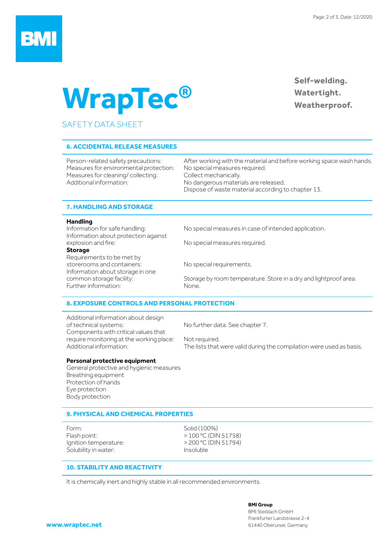

# **WrapTec®**

### **Self-welding. Watertight. Weatherproof.**

### SAFETY DATA SHEET

#### **6. ACCIDENTAL RELEASE MEASURES**

Measures for environmental protection: No special measures required. Measures for cleaning/ collecting: Collect mechanically. Additional information: No dangerous materials are released.

Person-related safety precautions: After working with the material and before working space wash hands. Dispose of waste material according to chapter 13.

#### **7. HANDLING AND STORAGE**

#### **Handling**

Information about protection against<br>explosion and fire:

#### **Storage**

Requirements to be met by storerooms and containers: No special requirements. Information about storage in one Further information: None.

Information for safe handling: No special measures in case of intended application.

No special measures required.

common storage facility: Storage by room temperature. Store in a dry and lightproof area.

#### **8. EXPOSURE CONTROLS AND PERSONAL PROTECTION**

Additional information about design of technical systems: No further data. See chapter 7. Components with critical values that require monitoring at the working place: Not required.<br>Additional information: The lists that

The lists that were valid during the compilation were used as basis.

#### **Personal protective equipment**

General protective and hygienic measures Breathing equipment Protection of hands Eye protection Body protection

#### **9. PHYSICAL AND CHEMICAL PROPERTIES**

Form: Solid (100%) Flash point:  $> 100 °C$  (DIN 51758) Ignition temperature:  $> 200 °C$  (DIN 51794) Solubility in water: Insoluble

#### **10. STABILITY AND REACTIVITY**

It is chemically inert and highly stable in all recommended environments.

**BMI Group**

BMI Steildach GmbH Frankfurter Landstrasse 2-4 61440 Oberursel, Germany